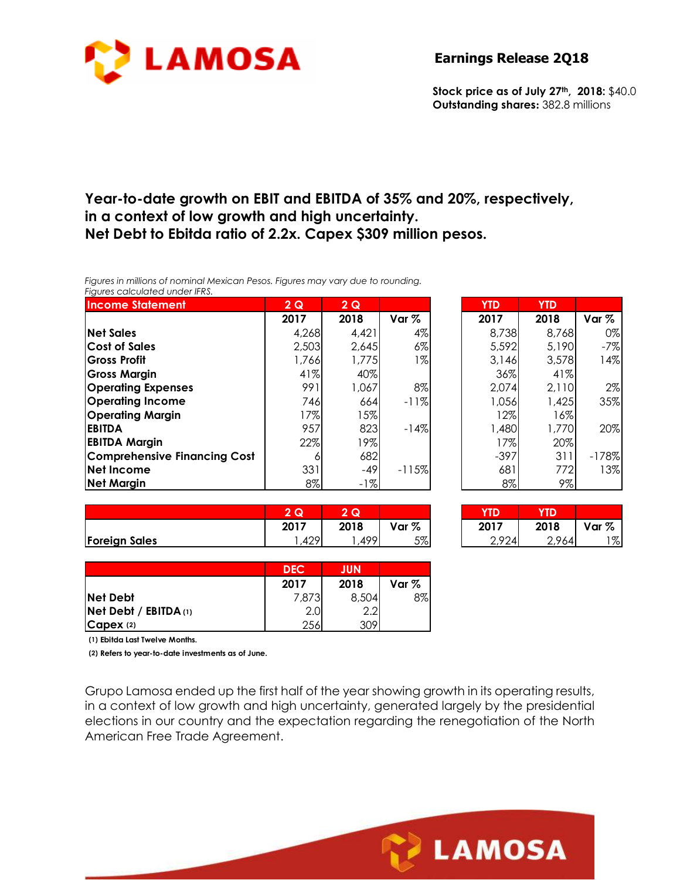

**Stock price as of July 27th, 2018:** \$40.0 **Outstanding shares:** 382.8 millions

## **Year-to-date growth on EBIT and EBITDA of 35% and 20%, respectively, in a context of low growth and high uncertainty. Net Debt to Ebitda ratio of 2.2x. Capex \$309 million pesos.**

*Figures in millions of nominal Mexican Pesos. Figures may vary due to rounding. Figures calculated under IFRS.* 

| <b>Income Statement</b>             | 2Q      | 2Q    |                  | <b>YTD</b> | <b>YTD</b> |         |
|-------------------------------------|---------|-------|------------------|------------|------------|---------|
|                                     | 2017    | 2018  | Var <sub>%</sub> | 2017       | 2018       | Var %   |
| <b>Net Sales</b>                    | 4,268   | 4,421 | 4%               | 8,738      | 8,768      | 0%      |
| <b>Cost of Sales</b>                | 2,503   | 2,645 | $6\%$            | 5,592      | 5,190      | $-7%$   |
| <b>Gross Profit</b>                 | 766,    | 1,775 | $1\%$            | 3.146      | 3,578      | 14%     |
| <b>Gross Margin</b>                 | 41%     | 40%   |                  | 36%        | 41%        |         |
| <b>Operating Expenses</b>           | 991     | 1,067 | 8%               | 2,074      | 2,110      | 2%      |
| <b>Operating Income</b>             | 746     | 664   | $-11%$           | 1,056      | 1,425      | 35%     |
| <b>Operating Margin</b>             | $ 7\% $ | $5\%$ |                  | 12%        | 16%        |         |
| <b>EBITDA</b>                       | 957     | 823   | $-14%$           | 1,480      | 1,770      | 20%     |
| <b>EBITDA Margin</b>                | 22%     | 9%    |                  | 17%        | 20%        |         |
| <b>Comprehensive Financing Cost</b> | 6       | 682   |                  | $-397$     | 311        | $-178%$ |
| <b>Net Income</b>                   | 331     | $-49$ | $-115%$          | 681        | 772        | 13%     |
| <b>Net Margin</b>                   | $8\%$   | $-1%$ |                  | $8\%$      | 9%         |         |

| 2017  | 2018  | Var %   | 2017   | 2018  | Var %   |
|-------|-------|---------|--------|-------|---------|
| 4,268 | 4,421 | 4%      | 8,738  | 8,768 | 0%      |
| 2,503 | 2,645 | $6\%$   | 5,592  | 5,190 | $-7%$   |
| 1,766 | 1,775 | $1\%$   | 3,146  | 3,578 | 14%     |
| 41%   | 40%   |         | 36%    | 41%   |         |
| 991   | 1,067 | 8%      | 2,074  | 2,110 | $2\%$   |
| 746   | 664   | $-11%$  | 1,056  | 1,425 | 35%     |
| 17%   | 15%   |         | 12%    | 16%   |         |
| 957   | 823   | $-14%$  | 1,480  | 1,770 | 20%     |
| 22%   | 19%   |         | 17%    | 20%   |         |
| 6     | 682   |         | $-397$ | 311   | $-178%$ |
| 331   | -49   | $-115%$ | 681    | 772   | 13%     |
| 8%    | $-1%$ |         | 8%     | 9%    |         |

**LAMOSA** 

|                      | Q           | $\sim$<br>w |          | YTD         |                |       |
|----------------------|-------------|-------------|----------|-------------|----------------|-------|
|                      | 2017        | 2018        | %<br>Var | 2017        | 2018           | Var % |
| <b>Foreign Sales</b> | 00۸<br>™∠ / | <b>AOO</b>  | 5%       | 2924<br>,,, | $^{\circ}$ 964 | $1\%$ |

| 47 I I | 20 I V | $\sqrt{a}$ | 47 I I | ∸∾ |
|--------|--------|------------|--------|----|
|        | 499    | ᄕᅁ         | 0.01   |    |
|        |        |            |        |    |
|        |        |            |        |    |
|        |        |            |        |    |

|                       | <b>DEC</b> | JUN   |         |
|-----------------------|------------|-------|---------|
|                       | 2017       | 2018  | Var $%$ |
| <b>Net Debt</b>       | 7,873      | 8,504 | 8%      |
| Net Debt / EBITDA (1) | 2.0        | 2.2   |         |
| $C$ apex $(2)$        | 256        | 309   |         |

**(1) Ebitda Last Twelve Months.**

**(2) Refers to year-to-date investments as of June.**

Grupo Lamosa ended up the first half of the year showing growth in its operating results, in a context of low growth and high uncertainty, generated largely by the presidential elections in our country and the expectation regarding the renegotiation of the North American Free Trade Agreement.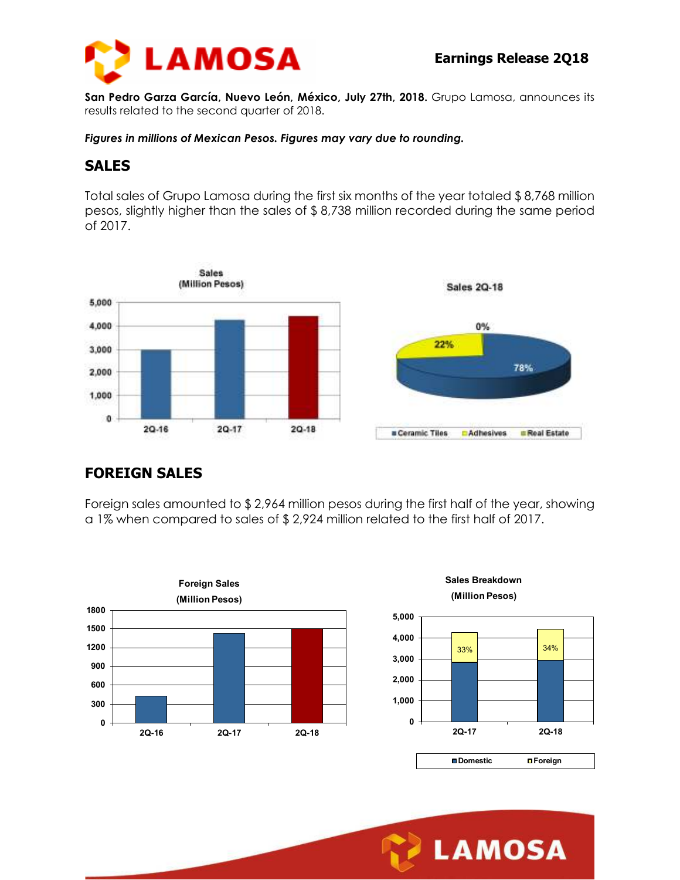

**San Pedro Garza García, Nuevo León, México, July 27th, 2018.** Grupo Lamosa, announces its results related to the second quarter of 2018.

*Figures in millions of Mexican Pesos. Figures may vary due to rounding.* 

### **SALES**

Total sales of Grupo Lamosa during the first six months of the year totaled \$ 8,768 million pesos, slightly higher than the sales of \$ 8,738 million recorded during the same period of 2017.



# **FOREIGN SALES**

Foreign sales amounted to \$ 2,964 million pesos during the first half of the year, showing a 1% when compared to sales of \$ 2,924 million related to the first half of 2017.



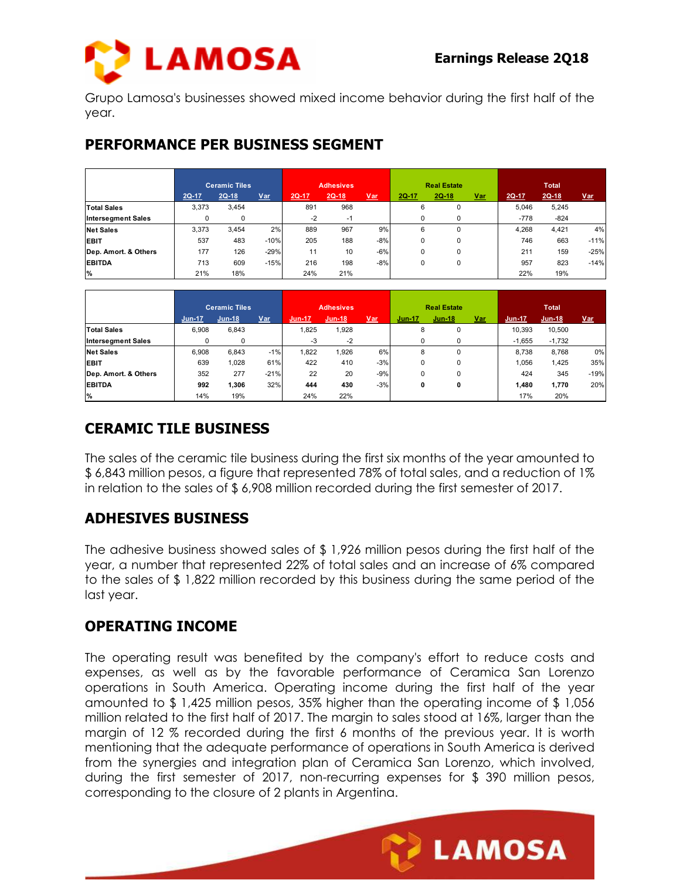

**LAMOSA** 

Grupo Lamosa's businesses showed mixed income behavior during the first half of the year.

#### **PERFORMANCE PER BUSINESS SEGMENT**

|                           | <b>Ceramic Tiles</b> |       |        | <b>Adhesives</b> |         |            | <b>Real Estate</b> |          |       | <b>Total</b> |         |            |
|---------------------------|----------------------|-------|--------|------------------|---------|------------|--------------------|----------|-------|--------------|---------|------------|
|                           | 2Q-17                | 2Q-18 | $Var$  | $2Q-17$          | $2Q-18$ | <u>Var</u> | $2Q-17$            | 2Q-18    | $Var$ | $2Q-17$      | $2Q-18$ | <u>Var</u> |
| <b>Total Sales</b>        | 3,373                | 3,454 |        | 891              | 968     |            | 6                  | $\Omega$ |       | 5.046        | 5,245   |            |
| <b>Intersegment Sales</b> | 0                    | 0     |        | $-2$             | $-1$    |            | 0                  | 0        |       | $-778$       | $-824$  |            |
| <b>Net Sales</b>          | 3,373                | 3,454 | 2%     | 889              | 967     | 9%         | 6                  | $\Omega$ |       | 4.268        | 4,421   | 4%         |
| <b>EBIT</b>               | 537                  | 483   | $-10%$ | 205              | 188     | $-8%$      | 0                  | 0        |       | 746          | 663     | $-11%$     |
| Dep. Amort. & Others      | 177                  | 126   | $-29%$ | 11               | 10      | $-6%$      | $\Omega$           | $\Omega$ |       | 211          | 159     | $-25%$     |
| <b>EBITDA</b>             | 713                  | 609   | $-15%$ | 216              | 198     | $-8%$      | 0                  | 0        |       | 957          | 823     | $-14%$     |
| <b>%</b>                  | 21%                  | 18%   |        | 24%              | 21%     |            |                    |          |       | 22%          | 19%     |            |

|                           |               | <b>Ceramic Tiles</b> |        |        | <b>Adhesives</b> |            |               | <b>Real Estate</b> |       |          | <b>Total</b> |            |
|---------------------------|---------------|----------------------|--------|--------|------------------|------------|---------------|--------------------|-------|----------|--------------|------------|
|                           | <b>Jun-17</b> | $Jun-18$             | Var    | Jun-17 | <b>Jun-18</b>    | <u>Var</u> | <b>Jun-17</b> | <b>Jun-18</b>      | $Var$ | Jun-17   | Jun-18       | <u>Var</u> |
| <b>Total Sales</b>        | 6.908         | 6,843                |        | 1.825  | 1,928            |            | 8             | 0                  |       | 10.393   | 10,500       |            |
| <b>Intersegment Sales</b> | 0             | 0                    |        | $-3$   | $-2$             |            | 0             | 0                  |       | $-1.655$ | $-1,732$     |            |
| <b>Net Sales</b>          | 6.908         | 6.843                | $-1%$  | 1,822  | 1,926            | 6%         | 8             | 0                  |       | 8.738    | 8,768        | 0%         |
| <b>EBIT</b>               | 639           | 1,028                | 61%    | 422    | 410              | $-3%$      | $\Omega$      | 0                  |       | 1,056    | 1,425        | 35%        |
| Dep. Amort. & Others      | 352           | 277                  | $-21%$ | 22     | 20               | $-9%$      | $\Omega$      | 0                  |       | 424      | 345          | $-19%$     |
| <b>EBITDA</b>             | 992           | 1.306                | 32%    | 444    | 430              | $-3%$      | 0             | 0                  |       | 1.480    | 1,770        | 20%        |
| <b>%</b>                  | 14%           | 19%                  |        | 24%    | 22%              |            |               |                    |       | 17%      | 20%          |            |

# **CERAMIC TILE BUSINESS**

The sales of the ceramic tile business during the first six months of the year amounted to \$ 6,843 million pesos, a figure that represented 78% of total sales, and a reduction of 1% in relation to the sales of \$ 6,908 million recorded during the first semester of 2017.

# **ADHESIVES BUSINESS**

The adhesive business showed sales of \$ 1,926 million pesos during the first half of the year, a number that represented 22% of total sales and an increase of 6% compared to the sales of \$ 1,822 million recorded by this business during the same period of the last year.

#### **OPERATING INCOME**

The operating result was benefited by the company's effort to reduce costs and expenses, as well as by the favorable performance of Ceramica San Lorenzo operations in South America. Operating income during the first half of the year amounted to \$ 1,425 million pesos, 35% higher than the operating income of \$ 1,056 million related to the first half of 2017. The margin to sales stood at 16%, larger than the margin of 12 % recorded during the first 6 months of the previous year. It is worth mentioning that the adequate performance of operations in South America is derived from the synergies and integration plan of Ceramica San Lorenzo, which involved, during the first semester of 2017, non-recurring expenses for \$ 390 million pesos, corresponding to the closure of 2 plants in Argentina.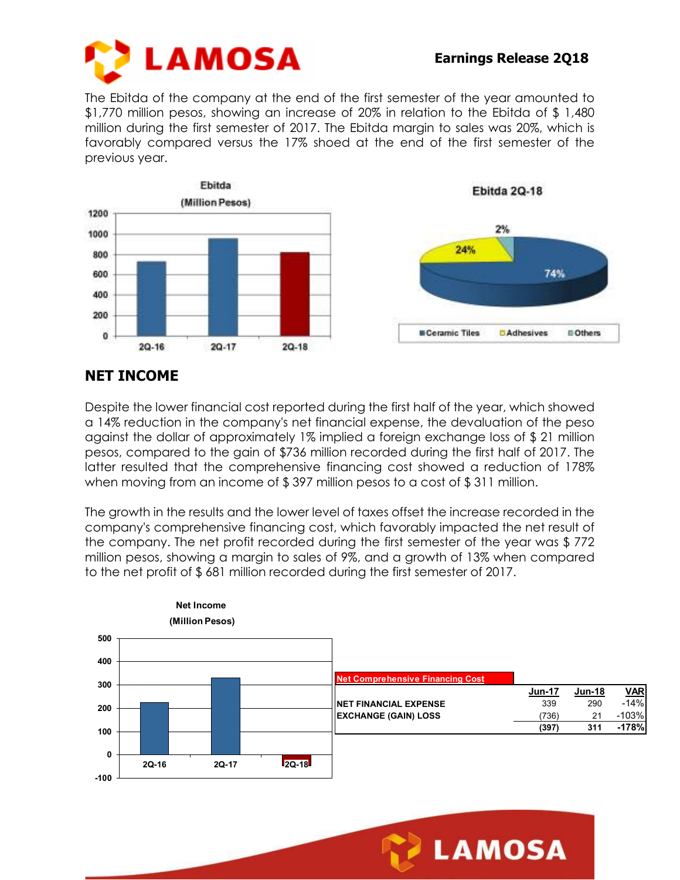

The Ebitda of the company at the end of the first semester of the year amounted to \$1,770 million pesos, showing an increase of 20% in relation to the Ebitda of \$ 1,480 million during the first semester of 2017. The Ebitda margin to sales was 20%, which is favorably compared versus the 17% shoed at the end of the first semester of the previous year.



# **NET INCOME**

Despite the lower financial cost reported during the first half of the year, which showed a 14% reduction in the company's net financial expense, the devaluation of the peso against the dollar of approximately 1% implied a foreign exchange loss of \$ 21 million pesos, compared to the gain of \$736 million recorded during the first half of 2017. The latter resulted that the comprehensive financing cost showed a reduction of 178% when moving from an income of \$397 million pesos to a cost of \$311 million.

The growth in the results and the lower level of taxes offset the increase recorded in the company's comprehensive financing cost, which favorably impacted the net result of the company. The net profit recorded during the first semester of the year was \$ 772 million pesos, showing a margin to sales of 9%, and a growth of 13% when compared to the net profit of \$ 681 million recorded during the first semester of 2017.



**LAMOSA**